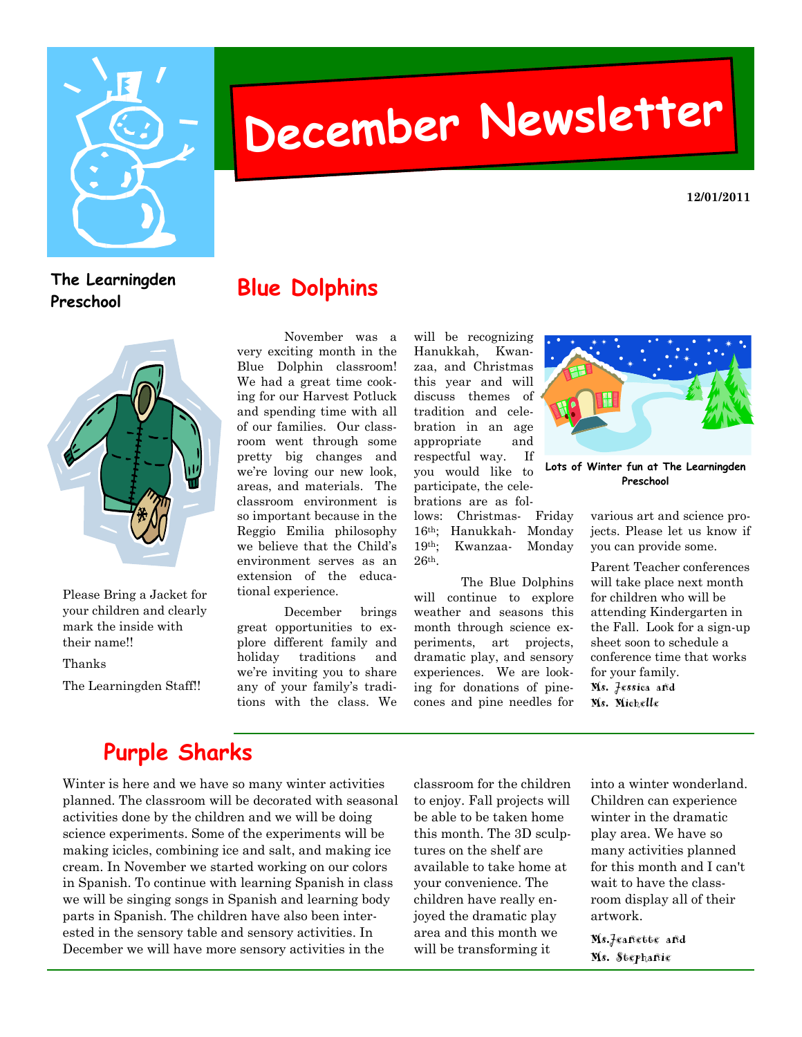

# **December Newsletter**

**12/01/2011** 

#### **The Learningden Preschool**



Please Bring a Jacket for your children and clearly mark the inside with their name!!

Thanks

The Learningden Staff!!

#### **Blue Dolphins**

November was a very exciting month in the Blue Dolphin classroom! We had a great time cooking for our Harvest Potluck and spending time with all of our families. Our classroom went through some pretty big changes and we're loving our new look, areas, and materials. The classroom environment is so important because in the Reggio Emilia philosophy we believe that the Child's environment serves as an extension of the educational experience.

December brings great opportunities to explore different family and holiday traditions and we're inviting you to share any of your family's traditions with the class. We will be recognizing Hanukkah, Kwanzaa, and Christmas this year and will discuss themes of tradition and celebration in an age appropriate and respectful way. If you would like to participate, the celebrations are as fol-

lows: Christmas- Friday 16th; Hanukkah- Monday 19th; Kwanzaa- Monday 26th.

The Blue Dolphins will continue to explore weather and seasons this month through science experiments, art projects, dramatic play, and sensory experiences. We are looking for donations of pinecones and pine needles for



**Lots of Winter fun at The Learningden Preschool** 

various art and science projects. Please let us know if you can provide some.

Parent Teacher conferences will take place next month for children who will be attending Kindergarten in the Fall. Look for a sign-up sheet soon to schedule a conference time that works for your family. Ms. Jessica and Ms. Michelle

## **Purple Sharks**

Winter is here and we have so many winter activities planned. The classroom will be decorated with seasonal activities done by the children and we will be doing science experiments. Some of the experiments will be making icicles, combining ice and salt, and making ice cream. In November we started working on our colors in Spanish. To continue with learning Spanish in class we will be singing songs in Spanish and learning body parts in Spanish. The children have also been interested in the sensory table and sensory activities. In December we will have more sensory activities in the

classroom for the children to enjoy. Fall projects will be able to be taken home this month. The 3D sculptures on the shelf are available to take home at your convenience. The children have really enjoyed the dramatic play area and this month we will be transforming it

into a winter wonderland. Children can experience winter in the dramatic play area. We have so many activities planned for this month and I can't wait to have the classroom display all of their artwork.

Ms.Jeanette and Ms. Stephanie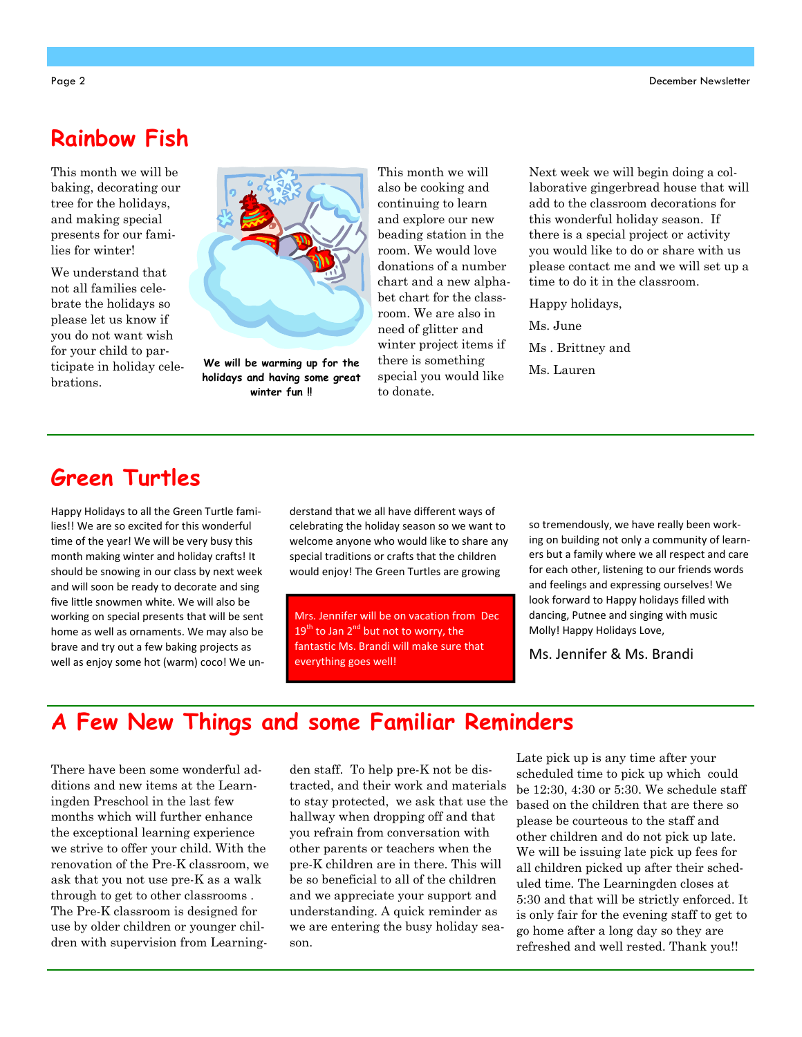#### **Rainbow Fish**

This month we will be baking, decorating our tree for the holidays, and making special presents for our families for winter!

We understand that not all families celebrate the holidays so please let us know if you do not want wish for your child to participate in holiday celebrations.



**We will be warming up for the holidays and having some great winter fun !!** 

This month we will also be cooking and continuing to learn and explore our new beading station in the room. We would love donations of a number chart and a new alphabet chart for the classroom. We are also in need of glitter and winter project items if there is something special you would like to donate.

Next week we will begin doing a collaborative gingerbread house that will add to the classroom decorations for this wonderful holiday season. If there is a special project or activity you would like to do or share with us please contact me and we will set up a time to do it in the classroom.

Happy holidays, Ms. June

Ms . Brittney and

Ms. Lauren

#### **Green Turtles**

Happy Holidays to all the Green Turtle fami‐ lies!! We are so excited for this wonderful time of the year! We will be very busy this month making winter and holiday crafts! It should be snowing in our class by next week and will soon be ready to decorate and sing five little snowmen white. We will also be working on special presents that will be sent home as well as ornaments. We may also be brave and try out a few baking projects as well as enjoy some hot (warm) coco! We un‐ derstand that we all have different ways of celebrating the holiday season so we want to welcome anyone who would like to share any special traditions or crafts that the children would enjoy! The Green Turtles are growing

Mrs. Jennifer will be on vacation from Dec  $19<sup>th</sup>$  to Jan 2<sup>nd</sup> but not to worry, the fantastic Ms. Brandi will make sure that everything goes well!

so tremendously, we have really been work‐ ing on building not only a community of learn‐ ers but a family where we all respect and care for each other, listening to our friends words and feelings and expressing ourselves! We look forward to Happy holidays filled with dancing, Putnee and singing with music Molly! Happy Holidays Love,

Ms. Jennifer & Ms. Brandi

#### **A Few New Things and some Familiar Reminders**

There have been some wonderful additions and new items at the Learningden Preschool in the last few months which will further enhance the exceptional learning experience we strive to offer your child. With the renovation of the Pre-K classroom, we ask that you not use pre-K as a walk through to get to other classrooms . The Pre-K classroom is designed for use by older children or younger children with supervision from Learningden staff. To help pre-K not be distracted, and their work and materials to stay protected, we ask that use the hallway when dropping off and that you refrain from conversation with other parents or teachers when the pre-K children are in there. This will be so beneficial to all of the children and we appreciate your support and understanding. A quick reminder as we are entering the busy holiday season.

Late pick up is any time after your scheduled time to pick up which could be 12:30, 4:30 or 5:30. We schedule staff based on the children that are there so please be courteous to the staff and other children and do not pick up late. We will be issuing late pick up fees for all children picked up after their scheduled time. The Learningden closes at 5:30 and that will be strictly enforced. It is only fair for the evening staff to get to go home after a long day so they are refreshed and well rested. Thank you!!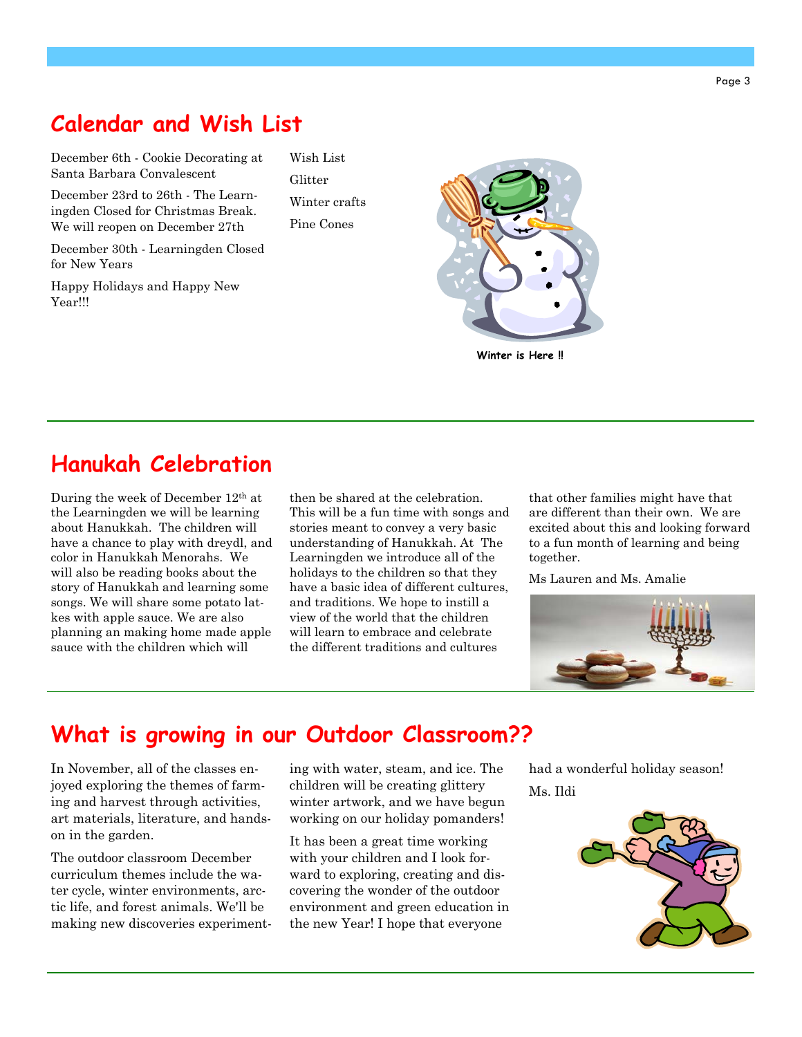#### Page 3

#### **Calendar and Wish List**

December 6th - Cookie Decorating at Santa Barbara Convalescent

December 23rd to 26th - The Learningden Closed for Christmas Break. We will reopen on December 27th

December 30th - Learningden Closed for New Years

Happy Holidays and Happy New Year!!!

Wish List Glitter Winter crafts Pine Cones



**Winter is Here !!** 

#### **Hanukah Celebration**

During the week of December 12th at the Learningden we will be learning about Hanukkah. The children will have a chance to play with dreydl, and color in Hanukkah Menorahs. We will also be reading books about the story of Hanukkah and learning some songs. We will share some potato latkes with apple sauce. We are also planning an making home made apple sauce with the children which will

then be shared at the celebration. This will be a fun time with songs and stories meant to convey a very basic understanding of Hanukkah. At The Learningden we introduce all of the holidays to the children so that they have a basic idea of different cultures, and traditions. We hope to instill a view of the world that the children will learn to embrace and celebrate the different traditions and cultures

that other families might have that are different than their own. We are excited about this and looking forward to a fun month of learning and being together.

Ms Lauren and Ms. Amalie



### **What is growing in our Outdoor Classroom??**

In November, all of the classes enjoyed exploring the themes of farming and harvest through activities, art materials, literature, and handson in the garden.

The outdoor classroom December curriculum themes include the water cycle, winter environments, arctic life, and forest animals. We'll be making new discoveries experimenting with water, steam, and ice. The children will be creating glittery winter artwork, and we have begun working on our holiday pomanders!

It has been a great time working with your children and I look forward to exploring, creating and discovering the wonder of the outdoor environment and green education in the new Year! I hope that everyone

had a wonderful holiday season! Ms. Ildi